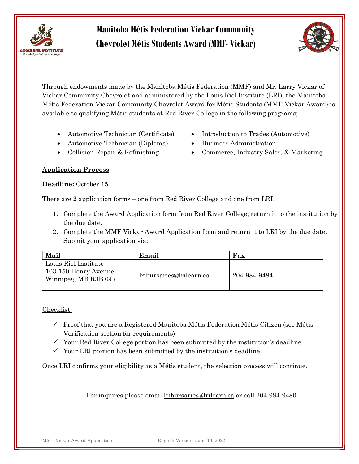



Through endowments made by the Manitoba Métis Federation (MMF) and Mr. Larry Vickar of Vickar Community Chevrolet and administered by the Louis Riel Institute (LRI), the Manitoba Métis Federation-Vickar Community Chevrolet Award for Métis Students (MMF-Vickar Award) is available to qualifying Métis students at Red River College in the following programs;

- Automotive Technician (Certificate)
- $\bullet$  Automotive Technician (Diploma)
	- Collision Repair & Refinishing
- Introduction to Trades (Automotive)
- Business Administration
- Commerce, Industry Sales, & Marketing

### Application Process

#### Deadline: October 15

There are 2 application forms – one from Red River College and one from LRI.

- 1. Complete the Award Application form from Red River College; return it to the institution by the due date.
- 2. Complete the MMF Vickar Award Application form and return it to LRI by the due date. Submit your application via;

| Mail                                                                 | Email                    | Fax          |
|----------------------------------------------------------------------|--------------------------|--------------|
| Louis Riel Institute<br>103-150 Henry Avenue<br>Winnipeg, MB R3B 0J7 | lribursaries@lrilearn.ca | 204-984-9484 |

#### Checklist:

- $\checkmark$  Proof that you are a Registered Manitoba Métis Federation Métis Citizen (see Métis Verification section for requirements)
- $\checkmark$  Your Red River College portion has been submitted by the institution's deadline
- $\checkmark$  Your LRI portion has been submitted by the institution's deadline

Once LRI confirms your eligibility as a Métis student, the selection process will continue.

For inquires please email lribursaries@lrilearn.ca or call 204-984-9480

MMF Vickar Award Application English Version, June 13, 2022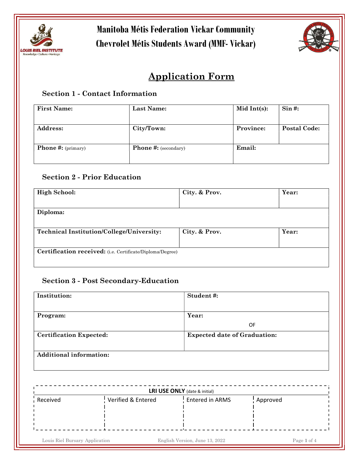



## Application Form

## Section 1 - Contact Information

| <b>First Name:</b>                   | Last Name:                  | Mid Int $(s)$ : | $\operatorname{Sin}$ #: |
|--------------------------------------|-----------------------------|-----------------|-------------------------|
| <b>Address:</b>                      | City/Town:                  | Province:       | <b>Postal Code:</b>     |
| <b>Phone #:</b> ( $\text{primary}$ ) | <b>Phone #:</b> (secondary) | Email:          |                         |

## Section 2 - Prior Education

| <b>High School:</b>                                       | City. & Prov. | Year: |
|-----------------------------------------------------------|---------------|-------|
|                                                           |               |       |
| Diploma:                                                  |               |       |
|                                                           |               |       |
| <b>Technical Institution/College/University:</b>          | City. & Prov. | Year: |
|                                                           |               |       |
| Certification received: (i.e. Certificate/Diploma/Degree) |               |       |
|                                                           |               |       |

### Section 3 - Post Secondary-Education

| Institution:                   | Student#:                           |
|--------------------------------|-------------------------------------|
|                                |                                     |
| Program:                       | Year:                               |
|                                | OF                                  |
| <b>Certification Expected:</b> | <b>Expected date of Graduation:</b> |
|                                |                                     |
| <b>Additional information:</b> |                                     |

| <b>LRI USE ONLY</b> (date & initial) |                    |                 |          |
|--------------------------------------|--------------------|-----------------|----------|
| Received                             | Verified & Entered | Entered in ARMS | Approved |
|                                      |                    |                 |          |
|                                      |                    |                 |          |
|                                      |                    |                 |          |
|                                      |                    |                 |          |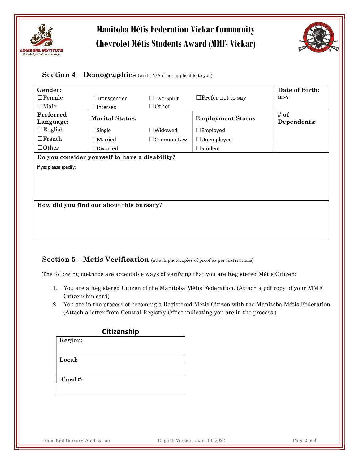



#### Section  $4$  – Demographics (write N/A if not applicable to you)

| Gender:                                        |                        |                   |                          | Date of Birth:      |
|------------------------------------------------|------------------------|-------------------|--------------------------|---------------------|
| $\Box$ Female                                  | $\Box$ Transgender     | $\Box$ Two-Spirit | $\Box$ Prefer not to say | M/D/Y               |
| $\Box$ Male                                    | $\square$ Intersex     | $\Box$ Other      |                          |                     |
| Preferred<br>Language:                         | <b>Marital Status:</b> |                   | <b>Employment Status</b> | # of<br>Dependents: |
| $\Box$ English                                 | $\Box$ Single          | $\Box$ Widowed    | $\square$ Employed       |                     |
| $\Box$ French                                  | $\Box$ Married         | $\Box$ Common Law | $\Box$ Unemployed        |                     |
| $\Box$ Other                                   | $\Box$ Divorced        |                   | $\Box$ Student           |                     |
| Do you consider yourself to have a disability? |                        |                   |                          |                     |
| If yes please specify:                         |                        |                   |                          |                     |
|                                                |                        |                   |                          |                     |
|                                                |                        |                   |                          |                     |
|                                                |                        |                   |                          |                     |
| How did you find out about this bursary?       |                        |                   |                          |                     |
|                                                |                        |                   |                          |                     |

### Section 5 – Metis Verification (attach photocopies of proof as per instructions)

The following methods are acceptable ways of verifying that you are Registered Métis Citizen:

- 1. You are a Registered Citizen of the Manitoba Métis Federation. (Attach a pdf copy of your MMF Citizenship card)
- 2. You are in the process of becoming a Registered Métis Citizen with the Manitoba Métis Federation. (Attach a letter from Central Registry Office indicating you are in the process.)

| Citizenship |  |  |
|-------------|--|--|
| Region:     |  |  |
|             |  |  |
| Local:      |  |  |
|             |  |  |
|             |  |  |
| $Card \#$ : |  |  |
|             |  |  |
|             |  |  |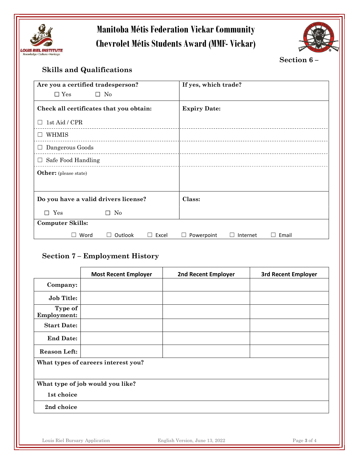



Section 6 –

## Skills and Qualifications

| Are you a certified tradesperson?       | If yes, which trade?                       |
|-----------------------------------------|--------------------------------------------|
| $\square$ No<br>$\square$ Yes           |                                            |
| Check all certificates that you obtain: | <b>Expiry Date:</b>                        |
| 1st Aid / CPR                           |                                            |
| WHMIS                                   |                                            |
| Dangerous Goods                         |                                            |
| Safe Food Handling<br>$\Box$            |                                            |
| <b>Other:</b> (please state)            |                                            |
|                                         |                                            |
| Do you have a valid drivers license?    | Class:                                     |
| $\square$ Yes<br>$\Box$ No              |                                            |
| <b>Computer Skills:</b>                 |                                            |
| Outlook<br>Word<br>Excel<br>$\Box$      | Email<br>Powerpoint<br>Internet<br>$\perp$ |

### Section 7 – Employment History

|                               | <b>Most Recent Employer</b>         | <b>2nd Recent Employer</b> | <b>3rd Recent Employer</b> |
|-------------------------------|-------------------------------------|----------------------------|----------------------------|
| Company:                      |                                     |                            |                            |
| <b>Job Title:</b>             |                                     |                            |                            |
| Type of<br><b>Employment:</b> |                                     |                            |                            |
| <b>Start Date:</b>            |                                     |                            |                            |
| <b>End Date:</b>              |                                     |                            |                            |
| <b>Reason Left:</b>           |                                     |                            |                            |
|                               | What types of careers interest you? |                            |                            |
|                               | What type of job would you like?    |                            |                            |
| 1st choice                    |                                     |                            |                            |
| 2nd choice                    |                                     |                            |                            |